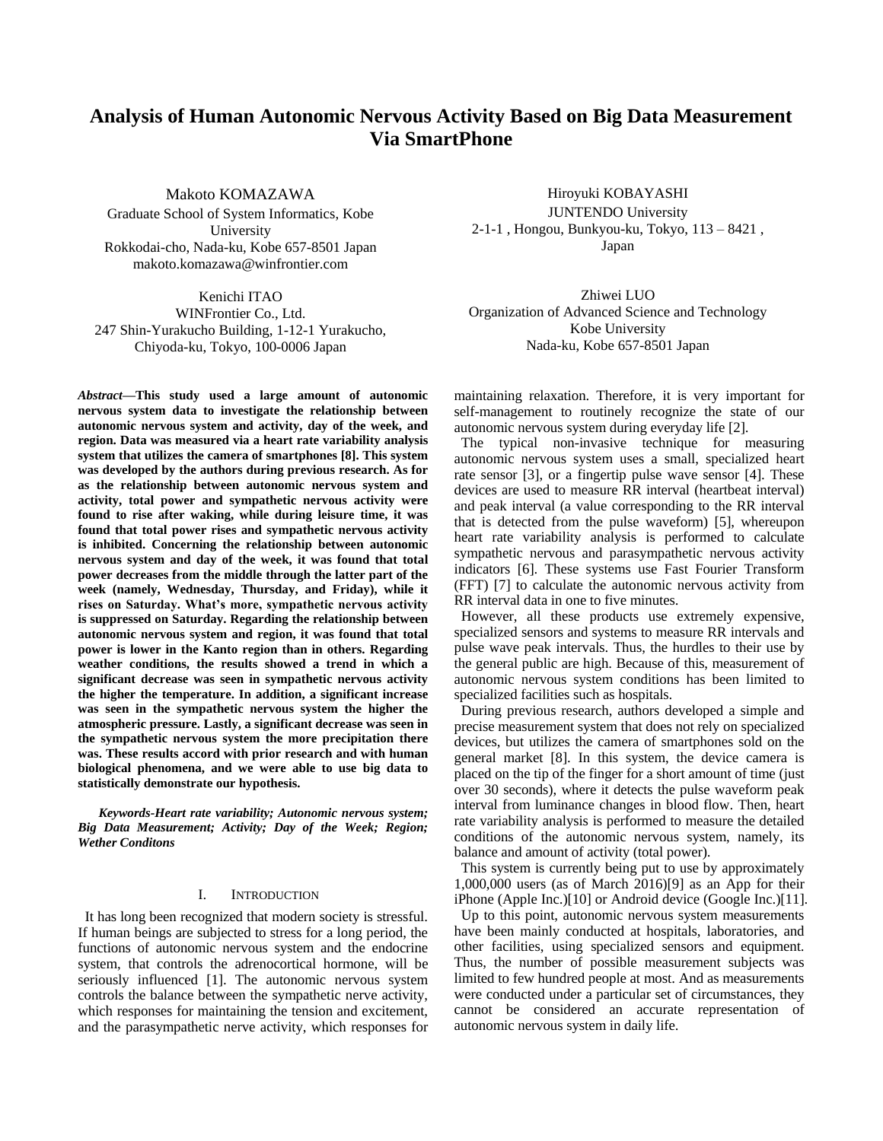# **Analysis of Human Autonomic Nervous Activity Based on Big Data Measurement Via SmartPhone**

Makoto KOMAZAWA Graduate School of System Informatics, Kobe University Rokkodai-cho, Nada-ku, Kobe 657-8501 Japan makoto.komazawa@winfrontier.com

Kenichi ITAO WINFrontier Co., Ltd. 247 Shin-Yurakucho Building, 1-12-1 Yurakucho, Chiyoda-ku, Tokyo, 100-0006 Japan

*Abstract***—This study used a large amount of autonomic nervous system data to investigate the relationship between autonomic nervous system and activity, day of the week, and region. Data was measured via a heart rate variability analysis system that utilizes the camera of smartphones [8]. This system was developed by the authors during previous research. As for as the relationship between autonomic nervous system and activity, total power and sympathetic nervous activity were found to rise after waking, while during leisure time, it was found that total power rises and sympathetic nervous activity is inhibited. Concerning the relationship between autonomic nervous system and day of the week, it was found that total power decreases from the middle through the latter part of the week (namely, Wednesday, Thursday, and Friday), while it rises on Saturday. What's more, sympathetic nervous activity is suppressed on Saturday. Regarding the relationship between autonomic nervous system and region, it was found that total power is lower in the Kanto region than in others. Regarding weather conditions, the results showed a trend in which a significant decrease was seen in sympathetic nervous activity the higher the temperature. In addition, a significant increase was seen in the sympathetic nervous system the higher the atmospheric pressure. Lastly, a significant decrease was seen in the sympathetic nervous system the more precipitation there was. These results accord with prior research and with human biological phenomena, and we were able to use big data to statistically demonstrate our hypothesis.**

*Keywords-Heart rate variability; Autonomic nervous system; Big Data Measurement; Activity; Day of the Week; Region; Wether Conditons*

### I. INTRODUCTION

It has long been recognized that modern society is stressful. If human beings are subjected to stress for a long period, the functions of autonomic nervous system and the endocrine system, that controls the adrenocortical hormone, will be seriously influenced [1]. The autonomic nervous system controls the balance between the sympathetic nerve activity, which responses for maintaining the tension and excitement, and the parasympathetic nerve activity, which responses for

Hiroyuki KOBAYASHI JUNTENDO University 2-1-1 , Hongou, Bunkyou-ku, Tokyo, 113 – 8421 , Japan

Zhiwei LUO Organization of Advanced Science and Technology Kobe University Nada-ku, Kobe 657-8501 Japan

maintaining relaxation. Therefore, it is very important for self-management to routinely recognize the state of our autonomic nervous system during everyday life [2].

The typical non-invasive technique for measuring autonomic nervous system uses a small, specialized heart rate sensor [3], or a fingertip pulse wave sensor [4]. These devices are used to measure RR interval (heartbeat interval) and peak interval (a value corresponding to the RR interval that is detected from the pulse waveform) [5], whereupon heart rate variability analysis is performed to calculate sympathetic nervous and parasympathetic nervous activity indicators [6]. These systems use Fast Fourier Transform (FFT) [7] to calculate the autonomic nervous activity from RR interval data in one to five minutes.

However, all these products use extremely expensive, specialized sensors and systems to measure RR intervals and pulse wave peak intervals. Thus, the hurdles to their use by the general public are high. Because of this, measurement of autonomic nervous system conditions has been limited to specialized facilities such as hospitals.

During previous research, authors developed a simple and precise measurement system that does not rely on specialized devices, but utilizes the camera of smartphones sold on the general market [8]. In this system, the device camera is placed on the tip of the finger for a short amount of time (just over 30 seconds), where it detects the pulse waveform peak interval from luminance changes in blood flow. Then, heart rate variability analysis is performed to measure the detailed conditions of the autonomic nervous system, namely, its balance and amount of activity (total power).

This system is currently being put to use by approximately 1,000,000 users (as of March 2016)[9] as an App for their iPhone (Apple Inc.)[10] or Android device (Google Inc.)[11].

Up to this point, autonomic nervous system measurements have been mainly conducted at hospitals, laboratories, and other facilities, using specialized sensors and equipment. Thus, the number of possible measurement subjects was limited to few hundred people at most. And as measurements were conducted under a particular set of circumstances, they cannot be considered an accurate representation of autonomic nervous system in daily life.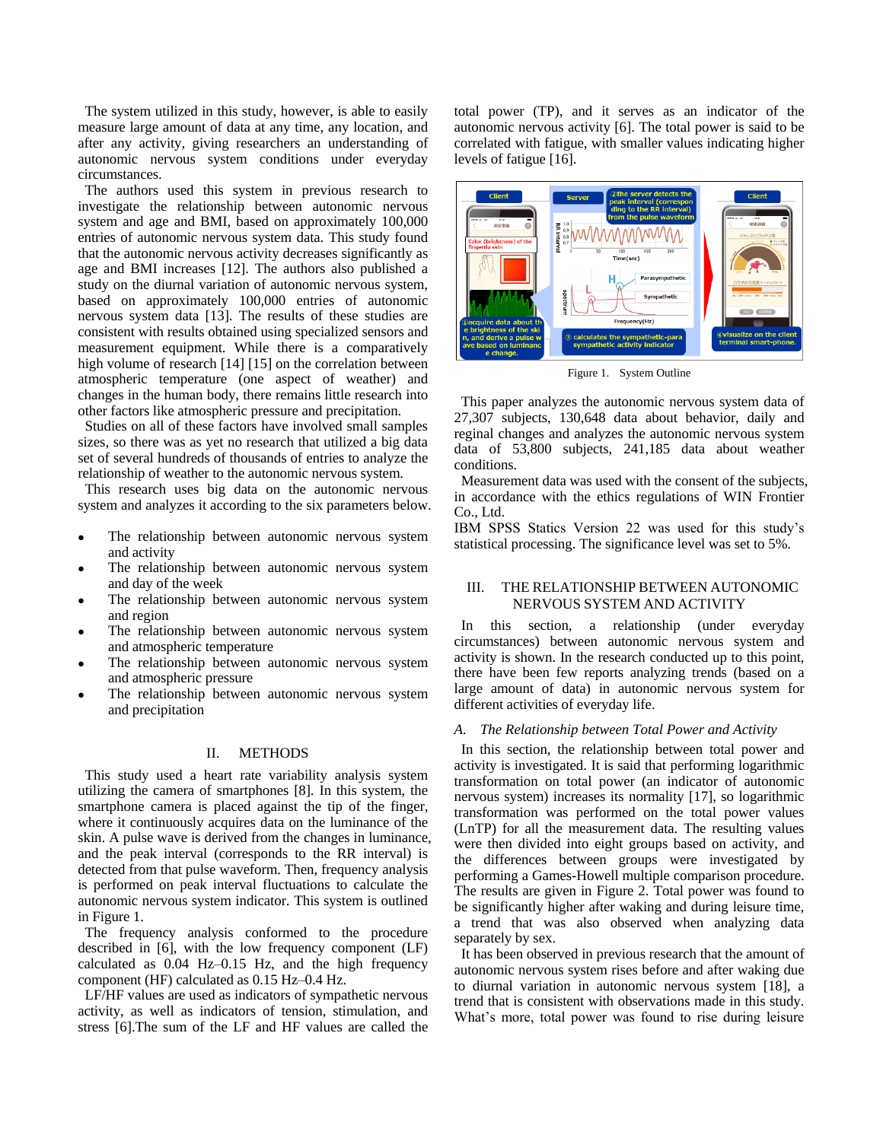The system utilized in this study, however, is able to easily measure large amount of data at any time, any location, and after any activity, giving researchers an understanding of autonomic nervous system conditions under everyday circumstances.

The authors used this system in previous research to investigate the relationship between autonomic nervous system and age and BMI, based on approximately 100,000 entries of autonomic nervous system data. This study found that the autonomic nervous activity decreases significantly as age and BMI increases [12]. The authors also published a study on the diurnal variation of autonomic nervous system, based on approximately 100,000 entries of autonomic nervous system data [13]. The results of these studies are consistent with results obtained using specialized sensors and measurement equipment. While there is a comparatively high volume of research [14] [15] on the correlation between atmospheric temperature (one aspect of weather) and changes in the human body, there remains little research into other factors like atmospheric pressure and precipitation.

Studies on all of these factors have involved small samples sizes, so there was as yet no research that utilized a big data set of several hundreds of thousands of entries to analyze the relationship of weather to the autonomic nervous system.

This research uses big data on the autonomic nervous system and analyzes it according to the six parameters below.

- The relationship between autonomic nervous system and activity
- The relationship between autonomic nervous system and day of the week
- The relationship between autonomic nervous system and region
- The relationship between autonomic nervous system and atmospheric temperature
- The relationship between autonomic nervous system and atmospheric pressure
- The relationship between autonomic nervous system and precipitation

# II. METHODS

This study used a heart rate variability analysis system utilizing the camera of smartphones [8]. In this system, the smartphone camera is placed against the tip of the finger, where it continuously acquires data on the luminance of the skin. A pulse wave is derived from the changes in luminance, and the peak interval (corresponds to the RR interval) is detected from that pulse waveform. Then, frequency analysis is performed on peak interval fluctuations to calculate the autonomic nervous system indicator. This system is outlined in Figure 1.

The frequency analysis conformed to the procedure described in [6], with the low frequency component (LF) calculated as 0.04 Hz–0.15 Hz, and the high frequency component (HF) calculated as 0.15 Hz–0.4 Hz.

LF/HF values are used as indicators of sympathetic nervous activity, as well as indicators of tension, stimulation, and stress [6].The sum of the LF and HF values are called the total power (TP), and it serves as an indicator of the autonomic nervous activity [6]. The total power is said to be correlated with fatigue, with smaller values indicating higher levels of fatigue [16].



Figure 1. System Outline

This paper analyzes the autonomic nervous system data of 27,307 subjects, 130,648 data about behavior, daily and reginal changes and analyzes the autonomic nervous system data of 53,800 subjects, 241,185 data about weather conditions.

Measurement data was used with the consent of the subjects, in accordance with the ethics regulations of WIN Frontier Co., Ltd.

IBM SPSS Statics Version 22 was used for this study's statistical processing. The significance level was set to 5%.

### III. THE RELATIONSHIP BETWEEN AUTONOMIC NERVOUS SYSTEM AND ACTIVITY

In this section, a relationship (under everyday circumstances) between autonomic nervous system and activity is shown. In the research conducted up to this point, there have been few reports analyzing trends (based on a large amount of data) in autonomic nervous system for different activities of everyday life.

#### *A. The Relationship between Total Power and Activity*

In this section, the relationship between total power and activity is investigated. It is said that performing logarithmic transformation on total power (an indicator of autonomic nervous system) increases its normality [17], so logarithmic transformation was performed on the total power values (LnTP) for all the measurement data. The resulting values were then divided into eight groups based on activity, and the differences between groups were investigated by performing a Games-Howell multiple comparison procedure. The results are given in Figure 2. Total power was found to be significantly higher after waking and during leisure time, a trend that was also observed when analyzing data separately by sex.

It has been observed in previous research that the amount of autonomic nervous system rises before and after waking due to diurnal variation in autonomic nervous system [18], a trend that is consistent with observations made in this study. What's more, total power was found to rise during leisure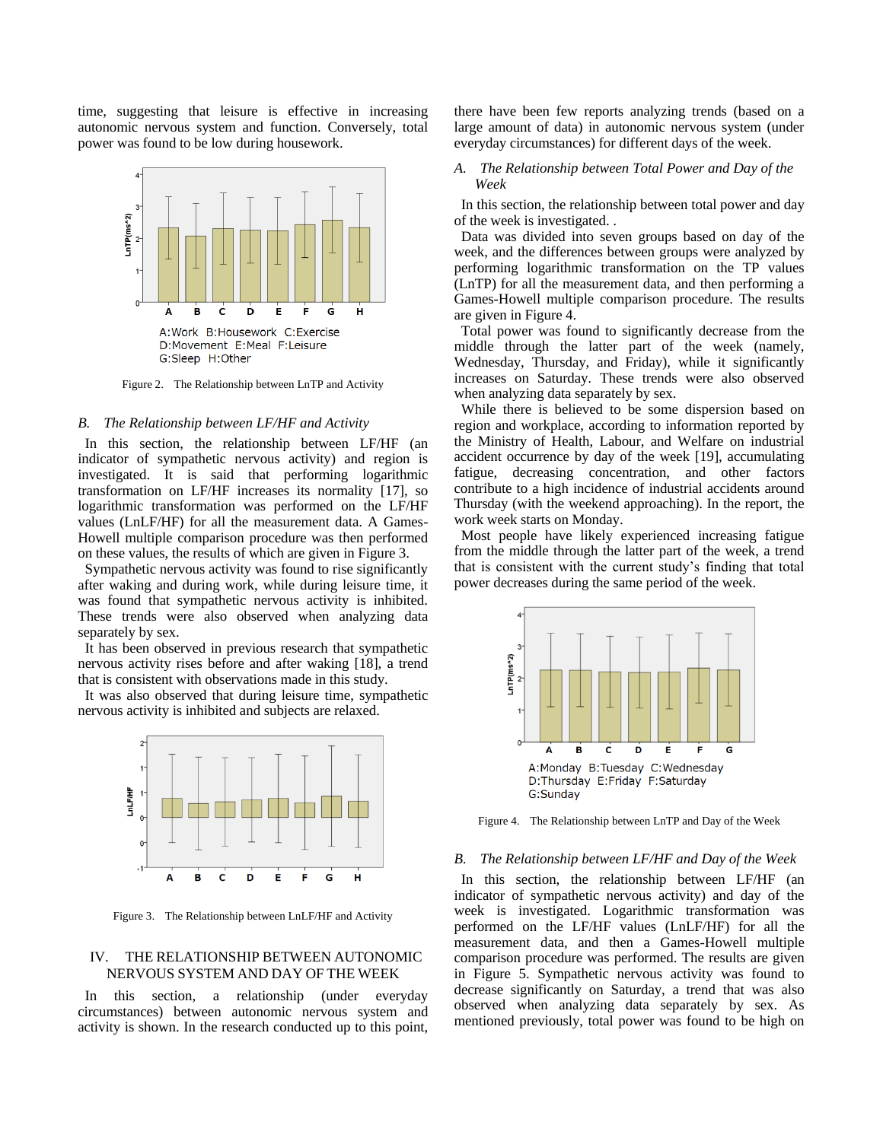time, suggesting that leisure is effective in increasing autonomic nervous system and function. Conversely, total power was found to be low during housework.



Figure 2. The Relationship between LnTP and Activity

#### *B. The Relationship between LF/HF and Activity*

In this section, the relationship between LF/HF (an indicator of sympathetic nervous activity) and region is investigated. It is said that performing logarithmic transformation on LF/HF increases its normality [17], so logarithmic transformation was performed on the LF/HF values (LnLF/HF) for all the measurement data. A Games-Howell multiple comparison procedure was then performed on these values, the results of which are given in Figure 3.

Sympathetic nervous activity was found to rise significantly after waking and during work, while during leisure time, it was found that sympathetic nervous activity is inhibited. These trends were also observed when analyzing data separately by sex.

It has been observed in previous research that sympathetic nervous activity rises before and after waking [18], a trend that is consistent with observations made in this study.

It was also observed that during leisure time, sympathetic nervous activity is inhibited and subjects are relaxed.



Figure 3. The Relationship between LnLF/HF and Activity

## IV. THE RELATIONSHIP BETWEEN AUTONOMIC NERVOUS SYSTEM AND DAY OF THE WEEK

In this section, a relationship (under everyday circumstances) between autonomic nervous system and activity is shown. In the research conducted up to this point, there have been few reports analyzing trends (based on a large amount of data) in autonomic nervous system (under everyday circumstances) for different days of the week.

#### *A. The Relationship between Total Power and Day of the Week*

In this section, the relationship between total power and day of the week is investigated. .

Data was divided into seven groups based on day of the week, and the differences between groups were analyzed by performing logarithmic transformation on the TP values (LnTP) for all the measurement data, and then performing a Games-Howell multiple comparison procedure. The results are given in Figure 4.

Total power was found to significantly decrease from the middle through the latter part of the week (namely, Wednesday, Thursday, and Friday), while it significantly increases on Saturday. These trends were also observed when analyzing data separately by sex.

While there is believed to be some dispersion based on region and workplace, according to information reported by the Ministry of Health, Labour, and Welfare on industrial accident occurrence by day of the week [19], accumulating fatigue, decreasing concentration, and other factors contribute to a high incidence of industrial accidents around Thursday (with the weekend approaching). In the report, the work week starts on Monday.

Most people have likely experienced increasing fatigue from the middle through the latter part of the week, a trend that is consistent with the current study's finding that total power decreases during the same period of the week.



Figure 4. The Relationship between LnTP and Day of the Week

#### *B. The Relationship between LF/HF and Day of the Week*

In this section, the relationship between LF/HF (an indicator of sympathetic nervous activity) and day of the week is investigated. Logarithmic transformation was performed on the LF/HF values (LnLF/HF) for all the measurement data, and then a Games-Howell multiple comparison procedure was performed. The results are given in Figure 5. Sympathetic nervous activity was found to decrease significantly on Saturday, a trend that was also observed when analyzing data separately by sex. As mentioned previously, total power was found to be high on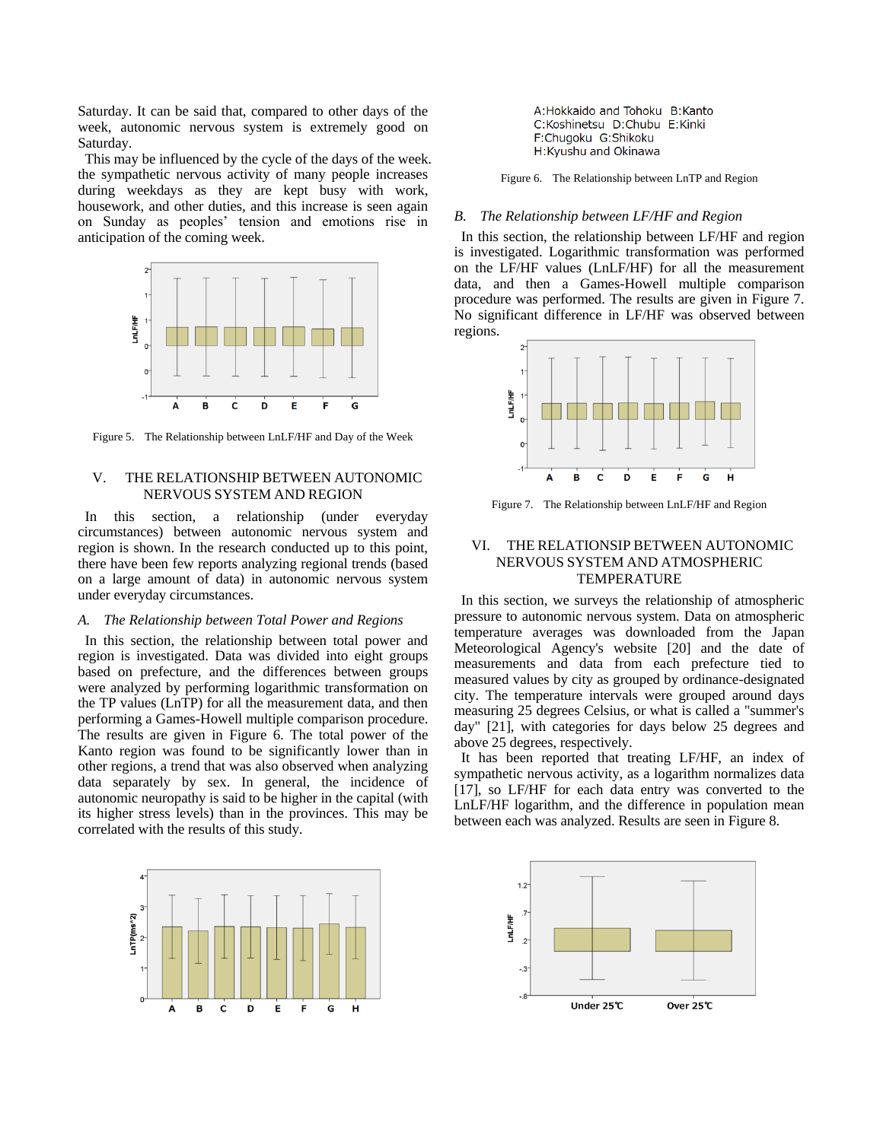Saturday. It can be said that, compared to other days of the week, autonomic nervous system is extremely good on Saturday.

This may be influenced by the cycle of the days of the week. the sympathetic nervous activity of many people increases during weekdays as they are kept busy with work, housework, and other duties, and this increase is seen again on Sunday as peoples' tension and emotions rise in anticipation of the coming week.



Figure 5. The Relationship between LnLF/HF and Day of the Week

### V. THE RELATIONSHIP BETWEEN AUTONOMIC NERVOUS SYSTEM AND REGION

In this section, a relationship (under everyday circumstances) between autonomic nervous system and region is shown. In the research conducted up to this point, there have been few reports analyzing regional trends (based on a large amount of data) in autonomic nervous system under everyday circumstances.

#### *A. The Relationship between Total Power and Regions*

In this section, the relationship between total power and region is investigated. Data was divided into eight groups based on prefecture, and the differences between groups were analyzed by performing logarithmic transformation on the TP values (LnTP) for all the measurement data, and then performing a Games-Howell multiple comparison procedure. The results are given in Figure 6. The total power of the Kanto region was found to be significantly lower than in other regions, a trend that was also observed when analyzing data separately by sex. In general, the incidence of autonomic neuropathy is said to be higher in the capital (with its higher stress levels) than in the provinces. This may be correlated with the results of this study.



A:Hokkaido and Tohoku B:Kanto C:Koshinetsu D:Chubu E:Kinki F:Chugoku G:Shikoku H:Kyushu and Okinawa

Figure 6. The Relationship between LnTP and Region

#### *B. The Relationship between LF/HF and Region*

In this section, the relationship between LF/HF and region is investigated. Logarithmic transformation was performed on the LF/HF values (LnLF/HF) for all the measurement data, and then a Games-Howell multiple comparison procedure was performed. The results are given in Figure 7. No significant difference in LF/HF was observed between regions.



Figure 7. The Relationship between LnLF/HF and Region

### VI. THE RELATIONSIP BETWEEN AUTONOMIC NERVOUS SYSTEM AND ATMOSPHERIC TEMPERATURE

In this section, we surveys the relationship of atmospheric pressure to autonomic nervous system. Data on atmospheric temperature averages was downloaded from the Japan Meteorological Agency's website [20] and the date of measurements and data from each prefecture tied to measured values by city as grouped by ordinance-designated city. The temperature intervals were grouped around days measuring 25 degrees Celsius, or what is called a "summer's day" [21], with categories for days below 25 degrees and above 25 degrees, respectively.

It has been reported that treating LF/HF, an index of sympathetic nervous activity, as a logarithm normalizes data [17], so LF/HF for each data entry was converted to the LnLF/HF logarithm, and the difference in population mean between each was analyzed. Results are seen in Figure 8.

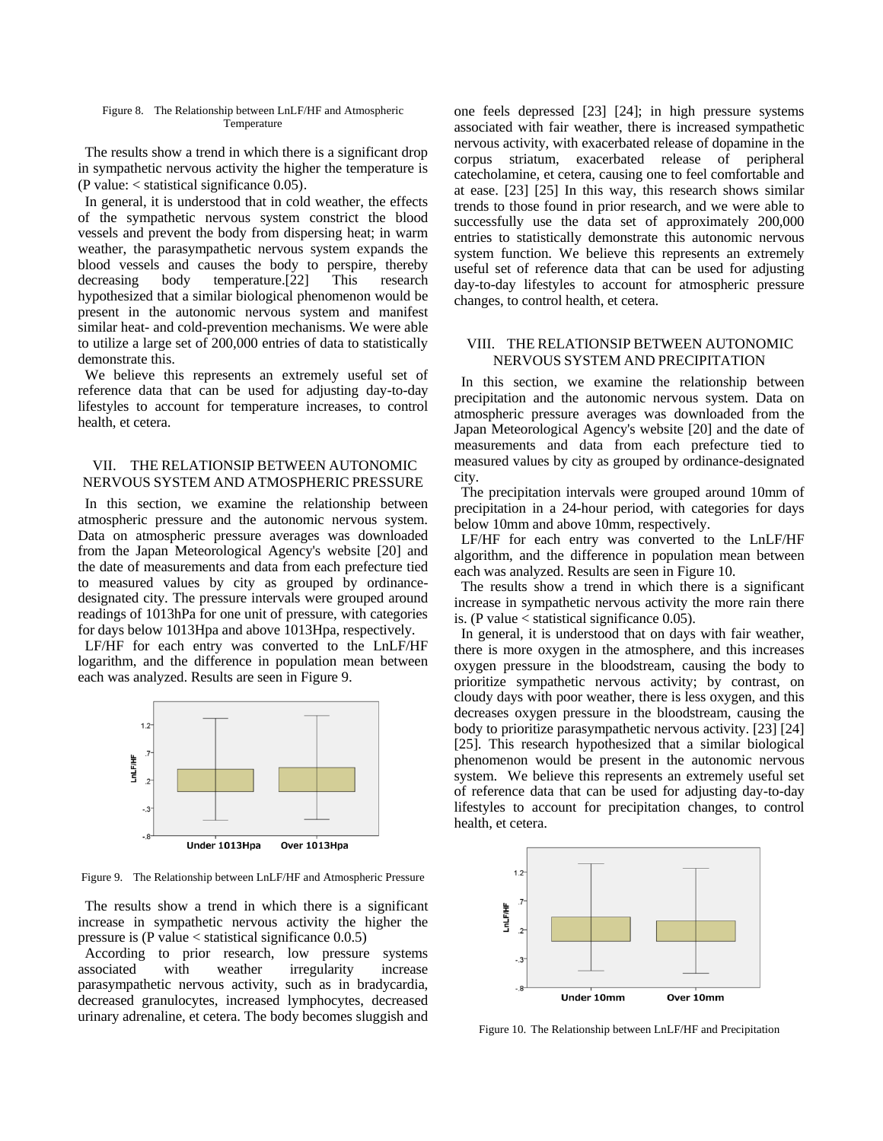#### Figure 8. The Relationship between LnLF/HF and Atmospheric Temperature

The results show a trend in which there is a significant drop in sympathetic nervous activity the higher the temperature is (P value: < statistical significance 0.05).

In general, it is understood that in cold weather, the effects of the sympathetic nervous system constrict the blood vessels and prevent the body from dispersing heat; in warm weather, the parasympathetic nervous system expands the blood vessels and causes the body to perspire, thereby decreasing body temperature.[22] This research hypothesized that a similar biological phenomenon would be present in the autonomic nervous system and manifest similar heat- and cold-prevention mechanisms. We were able to utilize a large set of 200,000 entries of data to statistically demonstrate this.

We believe this represents an extremely useful set of reference data that can be used for adjusting day-to-day lifestyles to account for temperature increases, to control health, et cetera.

#### VII. THE RELATIONSIP BETWEEN AUTONOMIC NERVOUS SYSTEM AND ATMOSPHERIC PRESSURE

In this section, we examine the relationship between atmospheric pressure and the autonomic nervous system. Data on atmospheric pressure averages was downloaded from the Japan Meteorological Agency's website [20] and the date of measurements and data from each prefecture tied to measured values by city as grouped by ordinancedesignated city. The pressure intervals were grouped around readings of 1013hPa for one unit of pressure, with categories for days below 1013Hpa and above 1013Hpa, respectively.

LF/HF for each entry was converted to the LnLF/HF logarithm, and the difference in population mean between each was analyzed. Results are seen in Figure 9.



Figure 9. The Relationship between LnLF/HF and Atmospheric Pressure

The results show a trend in which there is a significant increase in sympathetic nervous activity the higher the pressure is (P value < statistical significance 0.0.5)

According to prior research, low pressure systems associated with weather irregularity increase parasympathetic nervous activity, such as in bradycardia, decreased granulocytes, increased lymphocytes, decreased urinary adrenaline, et cetera. The body becomes sluggish and one feels depressed [23] [24]; in high pressure systems associated with fair weather, there is increased sympathetic nervous activity, with exacerbated release of dopamine in the corpus striatum, exacerbated release of peripheral catecholamine, et cetera, causing one to feel comfortable and at ease. [23] [25] In this way, this research shows similar trends to those found in prior research, and we were able to successfully use the data set of approximately 200,000 entries to statistically demonstrate this autonomic nervous system function. We believe this represents an extremely useful set of reference data that can be used for adjusting day-to-day lifestyles to account for atmospheric pressure changes, to control health, et cetera.

## VIII. THE RELATIONSIP BETWEEN AUTONOMIC NERVOUS SYSTEM AND PRECIPITATION

In this section, we examine the relationship between precipitation and the autonomic nervous system. Data on atmospheric pressure averages was downloaded from the Japan Meteorological Agency's website [20] and the date of measurements and data from each prefecture tied to measured values by city as grouped by ordinance-designated city.

The precipitation intervals were grouped around 10mm of precipitation in a 24-hour period, with categories for days below 10mm and above 10mm, respectively.

LF/HF for each entry was converted to the LnLF/HF algorithm, and the difference in population mean between each was analyzed. Results are seen in Figure 10.

The results show a trend in which there is a significant increase in sympathetic nervous activity the more rain there is. (P value < statistical significance 0.05).

In general, it is understood that on days with fair weather, there is more oxygen in the atmosphere, and this increases oxygen pressure in the bloodstream, causing the body to prioritize sympathetic nervous activity; by contrast, on cloudy days with poor weather, there is less oxygen, and this decreases oxygen pressure in the bloodstream, causing the body to prioritize parasympathetic nervous activity. [23] [24] [25]. This research hypothesized that a similar biological phenomenon would be present in the autonomic nervous system. We believe this represents an extremely useful set of reference data that can be used for adjusting day-to-day lifestyles to account for precipitation changes, to control health, et cetera.



Figure 10. The Relationship between LnLF/HF and Precipitation